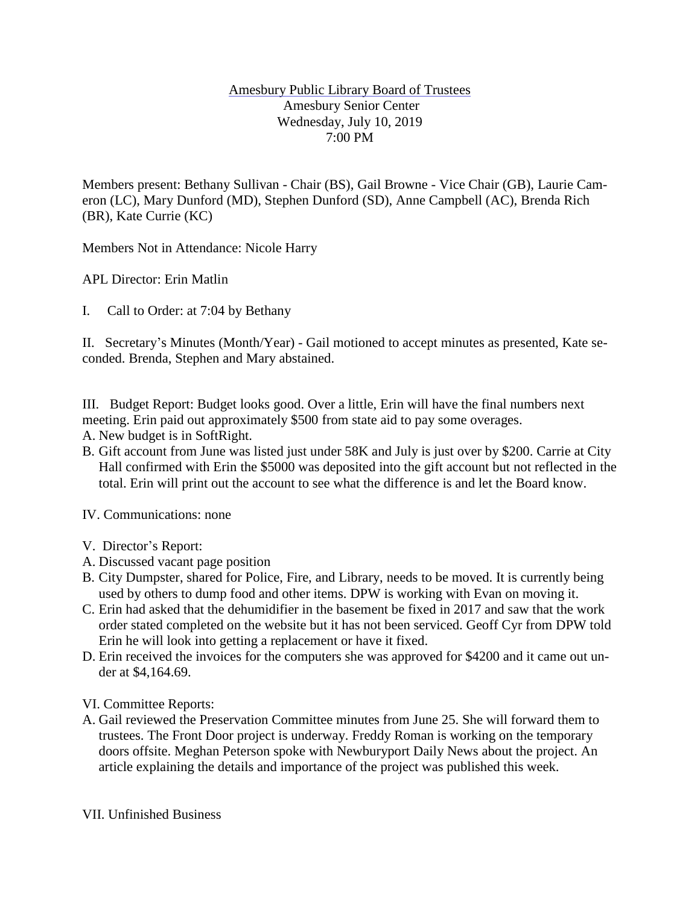## Amesbury Public Library Board of Trustees Amesbury Senior Center Wednesday, July 10, 2019 7:00 PM

Members present: Bethany Sullivan - Chair (BS), Gail Browne - Vice Chair (GB), Laurie Cameron (LC), Mary Dunford (MD), Stephen Dunford (SD), Anne Campbell (AC), Brenda Rich (BR), Kate Currie (KC)

Members Not in Attendance: Nicole Harry

APL Director: Erin Matlin

I. Call to Order: at 7:04 by Bethany

II. Secretary's Minutes (Month/Year) - Gail motioned to accept minutes as presented, Kate seconded. Brenda, Stephen and Mary abstained.

III. Budget Report: Budget looks good. Over a little, Erin will have the final numbers next meeting. Erin paid out approximately \$500 from state aid to pay some overages.

- A. New budget is in SoftRight.
- B. Gift account from June was listed just under 58K and July is just over by \$200. Carrie at City Hall confirmed with Erin the \$5000 was deposited into the gift account but not reflected in the total. Erin will print out the account to see what the difference is and let the Board know.

IV. Communications: none

- V. Director's Report:
- A. Discussed vacant page position
- B. City Dumpster, shared for Police, Fire, and Library, needs to be moved. It is currently being used by others to dump food and other items. DPW is working with Evan on moving it.
- C. Erin had asked that the dehumidifier in the basement be fixed in 2017 and saw that the work order stated completed on the website but it has not been serviced. Geoff Cyr from DPW told Erin he will look into getting a replacement or have it fixed.
- D. Erin received the invoices for the computers she was approved for \$4200 and it came out under at \$4,164.69.

VI. Committee Reports:

A. Gail reviewed the Preservation Committee minutes from June 25. She will forward them to trustees. The Front Door project is underway. Freddy Roman is working on the temporary doors offsite. Meghan Peterson spoke with Newburyport Daily News about the project. An article explaining the details and importance of the project was published this week.

VII. Unfinished Business